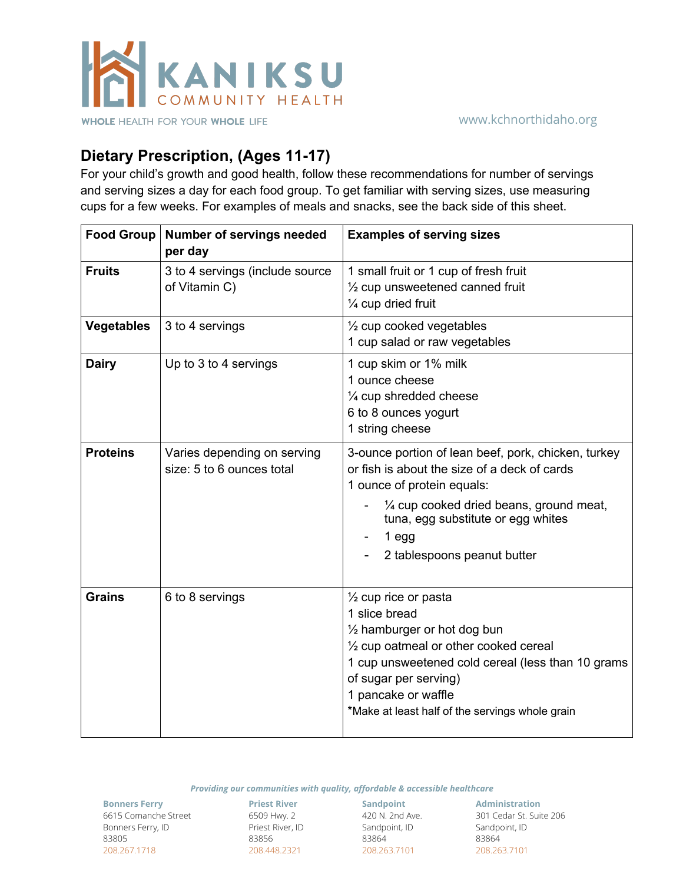

## **Dietary Prescription, (Ages 11-17)**

For your child's growth and good health, follow these recommendations for number of servings and serving sizes a day for each food group. To get familiar with serving sizes, use measuring cups for a few weeks. For examples of meals and snacks, see the back side of this sheet.

| Food Group        | <b>Number of servings needed</b><br>per day              | <b>Examples of serving sizes</b>                                                                                                                                                                                                                                                             |
|-------------------|----------------------------------------------------------|----------------------------------------------------------------------------------------------------------------------------------------------------------------------------------------------------------------------------------------------------------------------------------------------|
| <b>Fruits</b>     | 3 to 4 servings (include source<br>of Vitamin C)         | 1 small fruit or 1 cup of fresh fruit<br>$\frac{1}{2}$ cup unsweetened canned fruit<br>1/4 cup dried fruit                                                                                                                                                                                   |
| <b>Vegetables</b> | 3 to 4 servings                                          | 1/2 cup cooked vegetables<br>1 cup salad or raw vegetables                                                                                                                                                                                                                                   |
| <b>Dairy</b>      | Up to 3 to 4 servings                                    | 1 cup skim or 1% milk<br>1 ounce cheese<br>1/4 cup shredded cheese<br>6 to 8 ounces yogurt<br>1 string cheese                                                                                                                                                                                |
| <b>Proteins</b>   | Varies depending on serving<br>size: 5 to 6 ounces total | 3-ounce portion of lean beef, pork, chicken, turkey<br>or fish is about the size of a deck of cards<br>1 ounce of protein equals:<br>1/4 cup cooked dried beans, ground meat,<br>tuna, egg substitute or egg whites<br>$1$ egg<br>2 tablespoons peanut butter                                |
| <b>Grains</b>     | 6 to 8 servings                                          | $\frac{1}{2}$ cup rice or pasta<br>1 slice bread<br>$\frac{1}{2}$ hamburger or hot dog bun<br>1/2 cup oatmeal or other cooked cereal<br>1 cup unsweetened cold cereal (less than 10 grams<br>of sugar per serving)<br>1 pancake or waffle<br>*Make at least half of the servings whole grain |

*Providing our communities with quality, affordable & accessible healthcare*

**Bonners Ferry** 6615 Comanche Street Bonners Ferry, ID 83805 208.267.1718

**Priest River** 6509 Hwy. 2 Priest River, ID 83856 208.448.2321

**Sandpoint** 420 N. 2nd Ave. Sandpoint, ID 83864 208.263.7101

**Administration** 301 Cedar St. Suite 206 Sandpoint, ID 83864 208.263.7101